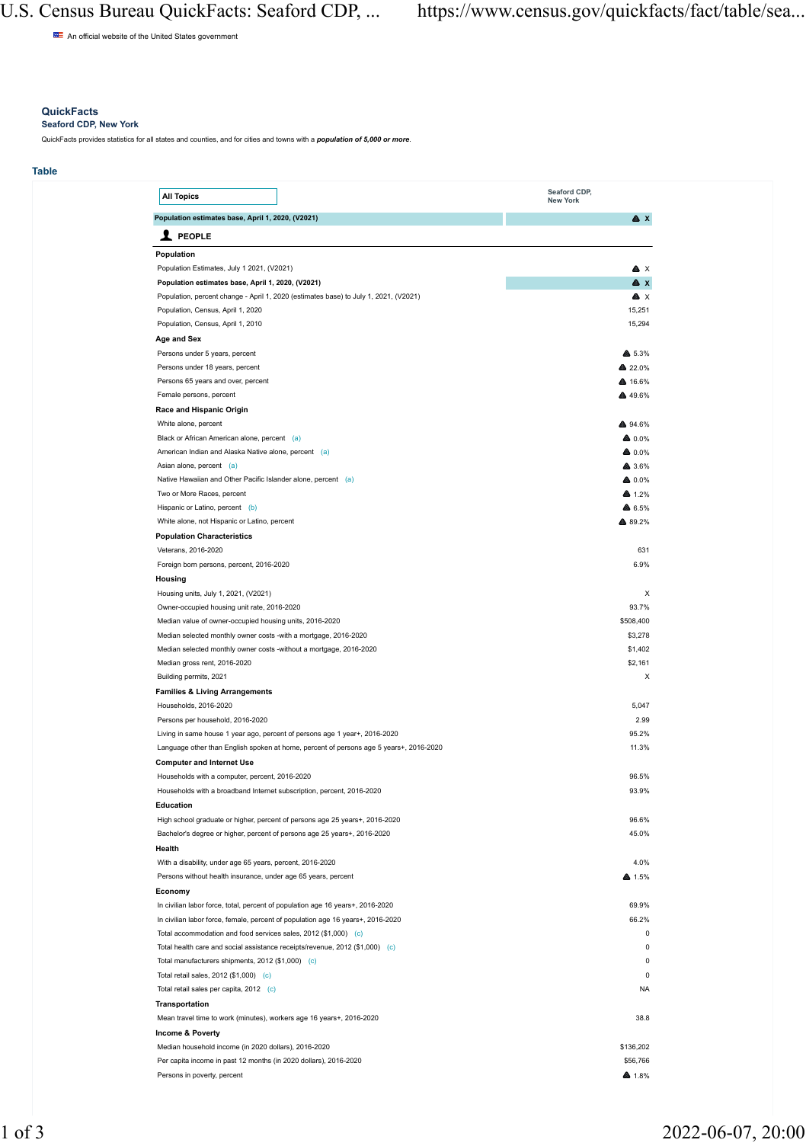An official website of the United States government

## **QuickFacts**

**Seaford CDP, New York**

QuickFacts provides statistics for all states and counties, and for cities and towns with a *population of 5,000 or more*.

### **Table**

| <b>All Topics</b>                                                                                  | Seaford CDP,<br>New York  |
|----------------------------------------------------------------------------------------------------|---------------------------|
| Population estimates base, April 1, 2020, (V2021)                                                  | $\triangle$ $x$           |
| $\mathbf 1$ PEOPLE                                                                                 |                           |
| Population                                                                                         |                           |
| Population Estimates, July 1 2021, (V2021)                                                         | A X                       |
| Population estimates base, April 1, 2020, (V2021)                                                  | A x                       |
| Population, percent change - April 1, 2020 (estimates base) to July 1, 2021, (V2021)               | Δx                        |
| Population, Census, April 1, 2020                                                                  | 15.251                    |
| Population, Census, April 1, 2010                                                                  | 15,294                    |
| Age and Sex                                                                                        |                           |
| Persons under 5 years, percent                                                                     | ▲ 5.3%                    |
| Persons under 18 years, percent                                                                    | A 22.0%                   |
| Persons 65 years and over, percent                                                                 | ▲ 16.6%                   |
| Female persons, percent                                                                            | ▲ 49.6%                   |
| Race and Hispanic Origin                                                                           |                           |
| White alone, percent                                                                               | A 94 6%                   |
| Black or African American alone, percent (a)                                                       | ▲ 0.0%                    |
| American Indian and Alaska Native alone, percent (a)                                               | A 0.0%                    |
| Asian alone, percent (a)                                                                           | ▲ 3.6%                    |
| Native Hawaiian and Other Pacific Islander alone, percent (a)                                      | ▲ 0.0%                    |
| Two or More Races, percent                                                                         | A 1.2%                    |
| Hispanic or Latino, percent (b)                                                                    | ▲ 6.5%                    |
| White alone, not Hispanic or Latino, percent                                                       | ▲ 89.2%                   |
| <b>Population Characteristics</b>                                                                  |                           |
| Veterans, 2016-2020                                                                                | 631                       |
| Foreign born persons, percent, 2016-2020                                                           | 6.9%                      |
| Housing                                                                                            |                           |
| Housing units, July 1, 2021, (V2021)                                                               | $\boldsymbol{\mathsf{x}}$ |
| Owner-occupied housing unit rate, 2016-2020                                                        | 93.7%                     |
| Median value of owner-occupied housing units, 2016-2020                                            | \$508,400<br>\$3,278      |
| Median selected monthly owner costs -with a mortgage, 2016-2020                                    | \$1,402                   |
| Median selected monthly owner costs -without a mortgage, 2016-2020<br>Median gross rent, 2016-2020 | \$2.161                   |
| Building permits, 2021                                                                             | $\mathbf{x}$              |
| <b>Families &amp; Living Arrangements</b>                                                          |                           |
| Households, 2016-2020                                                                              | 5,047                     |
| Persons ner household 2016-2020                                                                    | 2.99                      |
| Living in same house 1 year ago, percent of persons age 1 year+, 2016-2020                         | 95.2%                     |
| Language other than English spoken at home, percent of persons age 5 years+, 2016-2020             | 11.3%                     |
| <b>Computer and Internet Use</b>                                                                   |                           |
| Households with a computer, percent, 2016-2020                                                     | 96.5%                     |
| Households with a broadband Internet subscription, percent, 2016-2020                              | 93.9%                     |
| Education                                                                                          |                           |
| High school graduate or higher, percent of persons age 25 years+, 2016-2020                        | 96.6%                     |
| Bachelor's degree or higher, percent of persons age 25 years+, 2016-2020                           | 45.0%                     |
| Health                                                                                             |                           |
| With a disability, under age 65 years, percent, 2016-2020                                          | 4.0%                      |
| Persons without health insurance, under age 65 years, percent                                      | ▲ 1.5%                    |
| Economy                                                                                            |                           |
| In civilian labor force, total, percent of population age 16 years+, 2016-2020                     | 69.9%                     |
| In civilian labor force, female, percent of population age 16 years+, 2016-2020                    | 66.2%                     |
| Total accommodation and food services sales, 2012 (\$1,000) (c)                                    | $\Omega$                  |
| Total health care and social assistance receipts/revenue, 2012 (\$1,000) (c)                       | $\theta$                  |
| Total manufacturers shipments, 2012 (\$1,000) (c)                                                  | $\Omega$                  |
| Total retail sales, 2012 (\$1,000) (c)                                                             | $\mathbf 0$               |
| Total retail sales per capita, 2012 (c)                                                            | <b>NA</b>                 |
| Transportation                                                                                     |                           |
| Mean travel time to work (minutes), workers age 16 years+, 2016-2020                               | 38.8                      |
| Income & Poverty                                                                                   |                           |
| Median household income (in 2020 dollars), 2016-2020                                               | \$136.202                 |
| Per capita income in past 12 months (in 2020 dollars), 2016-2020                                   | \$56,766                  |
| Persons in poverty, percent                                                                        | A 1.8%                    |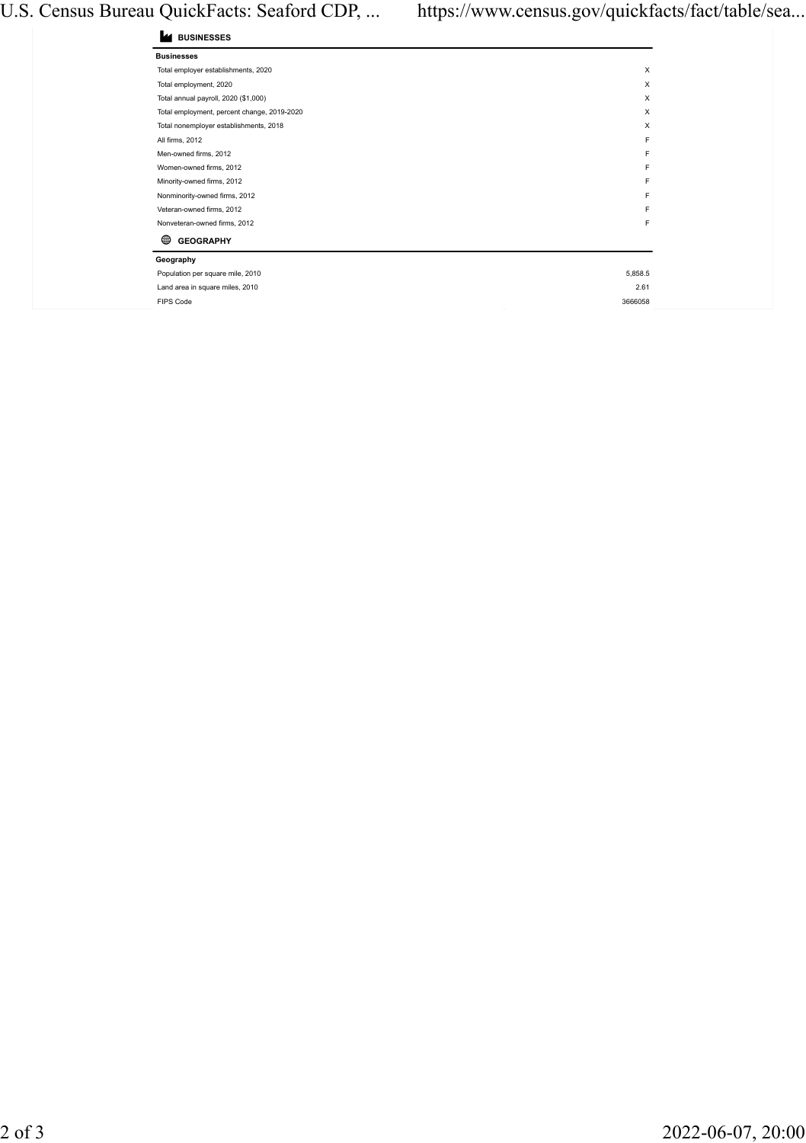# U.S. Census Bureau QuickFacts: Seaford CDP, ... https://www.census.gov/quickfacts/fact/table/sea...

| <b>BUSINESSES</b> |  |
|-------------------|--|
|-------------------|--|

| <b>Businesses</b>                           |         |
|---------------------------------------------|---------|
| Total employer establishments, 2020         | X       |
| Total employment, 2020                      | X       |
| Total annual payroll, 2020 (\$1,000)        | X       |
| Total employment, percent change, 2019-2020 | x       |
| Total nonemployer establishments, 2018      | x       |
| All firms, 2012                             | E       |
| Men-owned firms, 2012                       | F       |
| Women-owned firms, 2012                     | F       |
| Minority-owned firms, 2012                  | F       |
| Nonminority-owned firms, 2012               | F       |
| Veteran-owned firms, 2012                   | F       |
| Nonveteran-owned firms, 2012                | F       |
| ⋒<br><b>GEOGRAPHY</b>                       |         |
| Geography                                   |         |
| Population per square mile, 2010            | 5.858.5 |
| Land area in square miles, 2010             | 2.61    |
| <b>FIPS Code</b>                            | 3666058 |
|                                             |         |